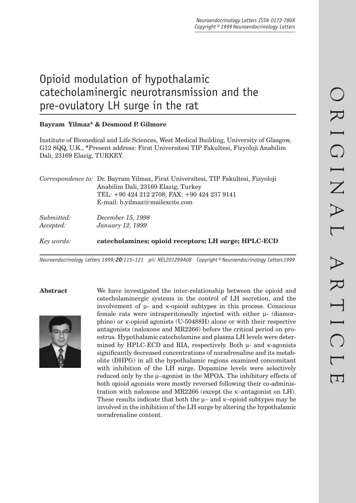# Opioid modulation of hypothalamic catecholaminergic neurotransmission and the pre-ovulatory LH surge in the rat

# **Bayram Yilmaz\* & Desmond P. Gilmore**

Institute of Biomedical and Life Sciences, West Medical Building, University of Glasgow, G12 8QQ, U.K., **\***Present address: Firat Universitesi TIP Fakultesi, Fizyoloji Anabilim Dali, 23169 Elazig, TURKEY.

|                         | Correspondence to: Dr. Bayram Yilmaz, Firat Universitesi, TIP Fakultesi, Fizyoloji<br>Anabilim Dali, 23169 Elazig, Turkey<br>TEL: +90 424 212 2708; FAX: +90 424 237 9141<br>E-mail: b.yilmaz@mailexcite.com |
|-------------------------|--------------------------------------------------------------------------------------------------------------------------------------------------------------------------------------------------------------|
| Submitted:<br>Accepted: | December 15, 1998<br>January 12, 1999                                                                                                                                                                        |
| Key words:              | catecholamines; opioid receptors; LH surge; HPLC-ECD                                                                                                                                                         |

*Neuroendocrinology Letters 1999; 20:115–121 pii: NEL201299A08 Copyright © Neuroendocrinology Letters 1999*



**Abstract** We have investigated the inter-relationship between the opioid and catecholaminergic systems in the control of LH secretion, and the involvement of µ- and κ-opioid subtypes in this process. Conscious female rats were intraperitoneally injected with either µ- (diamorphine) or κ-opioid agonists (U-50488H) alone or with their respective antagonists (naloxone and MR2266) before the critical period on proestrus. Hypothalamic catecholamine and plasma LH levels were determined by HPLC-ECD and RIA, respectively. Both μ- and κ-agonists significantly decreased concentrations of noradrenaline and its metabolite (DHPG) in all the hypothalamic regions examined concomitant with inhibition of the LH surge. Dopamine levels were selectively reduced only by the µ−agonist in the MPOA. The inhibitory effects of both opioid agonists were mostly reversed following their co-administration with naloxone and MR2266 (except the κ−antagonist on LH). These results indicate that both the  $\mu$ − and κ−opioid subtypes may be involved in the inhibition of the LH surge by altering the hypothalamic noradrenaline content.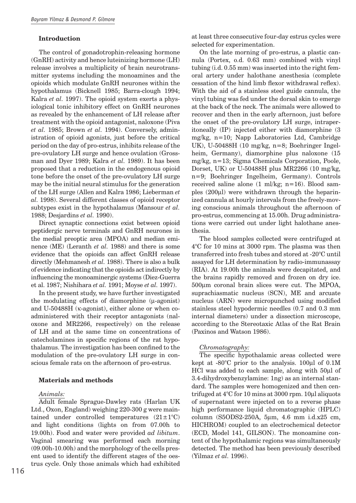# **Introduction**

The control of gonadotrophin-releasing hormone (GnRH) activity and hence luteinizing hormone (LH) release involves a multiplicity of brain neurotransmitter systems including the monoamines and the opioids which modulate GnRH neurones within the hypothalamus (Bicknell 1985; Barra-clough 1994; Kalra *et al.* 1997). The opioid system exerts a physiological tonic inhibitory effect on GnRH neurones as revealed by the enhancement of LH release after treatment with the opioid antagonist, naloxone (Piva *et al.* 1985; Brown *et al.* 1994). Conversely, administration of opioid agonists, just before the critical period on the day of pro-estrus, inhibits release of the pre-ovulatory LH surge and hence ovulation (Grossman and Dyer 1989; Kalra *et al.* 1989). It has been proposed that a reduction in the endogenous opioid tone before the onset of the pre-ovulatory LH surge may be the initial neural stimulus for the generation of the LH surge (Allen and Kalra 1986; Lieberman *et al.* 1998). Several different classes of opioid receptor subtypes exist in the hypothalamus (Mansour *et al.* 1988; Desjardins *et al.* 1990).

Direct synaptic connections exist between opioid peptidergic nerve terminals and GnRH neurones in the medial preoptic area (MPOA) and median eminence (ME) (Leranth *et al.* 1988) and there is some evidence that the opioids can affect GnRH release directly (Mehmanesh *et al.* 1988). There is also a bulk of evidence indicating that the opioids act indirectly by influencing the monoaminergic systems (Diez-Guerra et al. 1987; Nishihara *et al.* 1991; Moyse *et al.* 1997).

In the present study, we have further investigated the modulating effects of diamorphine (µ-agonist) and U-50488H (κ-agonist), either alone or when coadministered with their receptor antagonists (naloxone and MR2266, respectively) on the release of LH and at the same time on concentrations of catecholamines in specific regions of the rat hypothalamus. The investigation has been confined to the modulation of the pre-ovulatory LH surge in conscious female rats on the afternoon of pro-estrus.

# **Materials and methods**

## *Animals:*

Adult female Sprague-Dawley rats (Harlan UK Ltd., Oxon, England) weighing 220-300 g were maintained under controlled temperatures  $(21 \pm 1^{\circ}C)$ and light conditions (lights on from 07.00h to 19.00h). Food and water were provided *ad libitum*. Vaginal smearing was performed each morning (09.00h-10.00h) and the morphology of the cells present used to identify the different stages of the oestrus cycle. Only those animals which had exhibited

116

at least three consecutive four-day estrus cycles were selected for experimentation.

On the late morning of pro-estrus, a plastic cannula (Portex, o.d. 0.63 mm) combined with vinyl tubing (i.d. 0.55 mm) was inserted into the right femoral artery under halothane anesthesia (complete cessation of the hind limb flexor withdrawal reflex). With the aid of a stainless steel guide cannula, the vinyl tubing was fed under the dorsal skin to emerge at the back of the neck. The animals were allowed to recover and then in the early afternoon, just before the onset of the pre-ovulatory LH surge, intraperitoneally (IP) injected either with diamorphine (3 mg/kg, n=10; Napp Laboratories Ltd, Cambridge UK), U-50488H (10 mg/kg, n=8; Boehringer Ingelheim, Germany), diamorphine plus naloxone (15 mg/kg, n=13; Sigma Chemicals Corporation, Poole, Dorset, UK) or U-50488H plus MR2266 (10 mg/kg, n=9; Boehringer Ingelheim, Germany). Controls received saline alone  $(1 \text{ ml/kg}; \text{ n=16})$ . Blood samples (200µl) were withdrawn through the heparinized cannula at hourly intervals from the freely-moving conscious animals throughout the afternoon of pro-estrus, commencing at 15.00h. Drug administrations were carried out under light halothane anesthesia.

The blood samples collected were centrifuged at 4°C for 10 mins at 3000 rpm. The plasma was then transferred into fresh tubes and stored at -20°C until assayed for LH determination by radio-immunassay (RIA). At 19.00h the animals were decapitated, and the brains rapidly removed and frozen on dry ice. 500µm coronal brain slices were cut. The MPOA, suprachiasmatic nucleus (SCN), ME and arcuate nucleus (ARN) were micropunched using modified stainless steel hypodermic needles (0.7 and 0.3 mm internal diameters) under a dissection microscope, according to the Stereotaxic Atlas of the Rat Brain (Paxinos and Watson 1986).

# *Chromatography:*

The specific hypothalamic areas collected were kept at -80°C prior to the analysis. 100µl of 0.1M HCl was added to each sample, along with 50µl of 3.4-dihydroxybenzylamine: 1ng) as an internal standard. The samples were homogenized and then centrifuged at 4°C for 10 mins at 3000 rpm. 10µl aliquots of supernatant were injected on to a reverse phase high performance liquid chromatographic (HPLC) column (S5ODS2-250A, 5µm, 4.6 mm i.d.x25 cm, HICHROM) coupled to an electrochemical detector (ECD, Model 141, GILSON). The monoamine content of the hypothalamic regions was simultaneously detected. The method has been previously described (Yilmaz *et al.* 1996).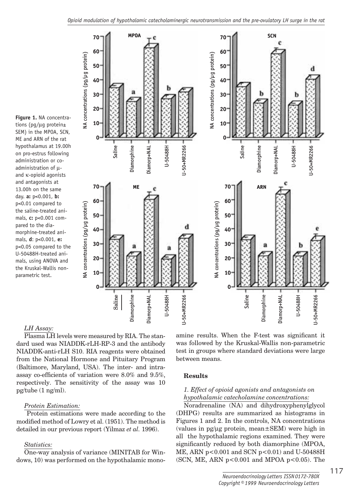**Figure 1.** NA concentrations (pg/µg protein± SEM) in the MPOA, SCN, ME and ARN of the rat hypothalamus at 19.00h on pro-estrus following administration or coadministration of µand κ-opioid agonists and antagonists at 13.00h on the same day. **a:** p<0.001, **b:**  p<0.01 compared to the saline-treated animals, **c:** p<0.001 compared to the diamorphine-treated animals, **d**: p<0.001, **e:**  p<0.05 compared to the U-50488H-treated animals, using ANOVA and the Kruskal-Wallis nonparametric test.



# *LH Assay:*

Plasma LH levels were measured by RIA. The standard used was NIADDK-rLH-RP-3 and the antibody NIADDK-anti-rLH S10. RIA reagents were obtained from the National Hormone and Pituitary Program (Baltimore, Maryland, USA). The inter- and intraassay co-efficients of variation were  $8.0\%$  and  $9.5\%$ , respectively. The sensitivity of the assay was 10 pg/tube (1 ng/ml).

# *Protein Estimation:*

 Protein estimations were made according to the modified method of Lowry et al. (1951). The method is detailed in our previous report (Yilmaz *et al.* 1996).

# *Statistics:*

One-way analysis of variance (MINITAB for Windows, 10) was performed on the hypothalamic monoamine results. When the F-test was significant it was followed by the Kruskal-Wallis non-parametric test in groups where standard deviations were large between means.

# **Results**

# *1. Effect of opioid agonists and antagonists on hypothalamic catecholamine concentrations:*

Noradrenaline (NA) and dihydroxyphenylglycol (DHPG) results are summarized as histograms in Figures 1 and 2. In the controls, NA concentrations (values in pg/µg protein, mean±SEM) were high in all the hypothalamic regions examined. They were significantly reduced by both diamorphine (MPOA, ME, ARN p<0.001 and SCN p<0.01) and U-50488H (SCN, ME, ARN  $p<0.001$  and MPOA  $p<0.05$ ). The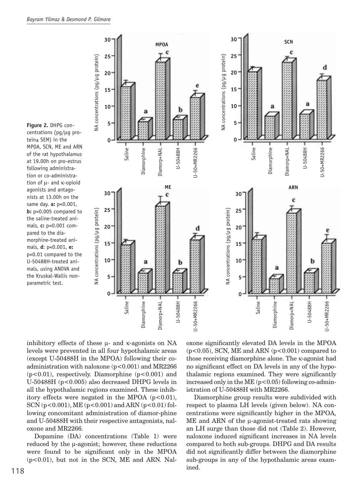

**Figure 2.** DHPG concentrations (pg/µg protein± SEM) in the MPOA, SCN, ME and ARN of the rat hypothalamus at 19.00h on pro-estrus following administration or co-administration of µ- and κ-opioid agonists and antagonists at 13.00h on the same day. **a:** p<0.001, b: p<0.005 compared to the saline-treated animals, **c:** p<0.001 compared to the diamorphine-treated animals, **d**: p<0.001, **e:**  p<0.01 compared to the U-50488H-treated animals, using ANOVA and the Kruskal-Wallis nonparametric test.

inhibitory effects of these µ- and κ-agonists on NA levels were prevented in all four hypothalamic areas (except U-50488H in the MPOA) following their coadministration with naloxone  $(p<0.001)$  and MR2266 (p<0.01), respectively. Diamorphine (p<0.001) and U-50488H (p<0.005) also decreased DHPG levels in all the hypothalamic regions examined. These inhibitory effects were negated in the MPOA  $(p<0.01)$ , SCN ( $p < 0.001$ ), ME ( $p < 0.001$ ) and ARN ( $p < 0.01$ ) following concomitant administration of diamor-phine and U-50488H with their respective antagonists, naloxone and MR2266.

Dopamine (DA) concentrations (Table 1) were reduced by the µ-agonist; however, these reductions were found to be significant only in the MPOA (p<0.01), but not in the SCN, ME and ARN. Nal-

no significant effect on DA levels in any of the hypothalamic regions examined. They were significantly increased only in the ME  $(p<0.05)$  following co-administration of U-50488H with MR2266. Diamorphine group results were subdivided with

respect to plasma LH levels (given below). NA concentrations were significantly higher in the MPOA, ME and ARN of the  $\mu$ -agonist-treated rats showing an LH surge than those did not (Table 2). However, naloxone induced significant increases in NA levels compared to both sub-groups. DHPG and DA results did not significantly differ between the diamorphine sub-groups in any of the hypothalamic areas examined.

oxone significantly elevated DA levels in the MPOA  $(p<0.05)$ , SCN, ME and ARN  $(p<0.001)$  compared to those receiving diamorphine alone. The κ-agonist had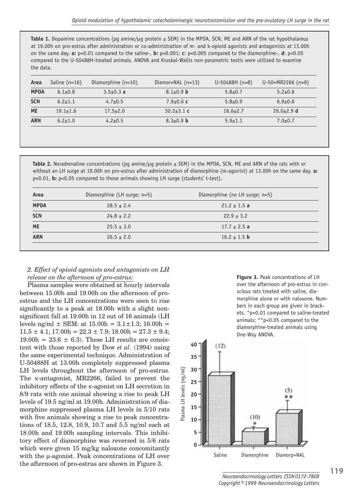**Table 1.** Dopamine concentrations (pg amine/µg protein ± SEM) in the MPOA, SCN, ME and ARN of the rat hypothalamus at 19.00h on pro-estrus after administration or co-administration of m- and k-opioid agonists and antagonists at 13.00h on the same day. **a:** p<0.01 compared to the saline-, **b:** p<0.001; **c**: p<0.005 compared to the diamorphine-, **d**: p<0.05 compared to the U-50488H-treated animals. ANOVA and Kruskal-Wallis non-parametric testis were utilized to examine the data.

| Area        | Saline $(n=16)$ | Diamorphine $(n=10)$ | Diamor+NAL (n=13) | $U-50488H(n=8)$ | $U-50+MR2266$ (n=9) |
|-------------|-----------------|----------------------|-------------------|-----------------|---------------------|
| <b>MPOA</b> | $6.1 \pm 0.8$   | $3.5 \pm 0.3$ a      | $8.1 \pm 0.9$ b   | $5.8 + 0.7$     | $5.2 \pm 0.6$       |
| <b>SCN</b>  | $6.2 \pm 1.1$   | $4.7 \pm 0.5$        | 7.9 $\pm$ 0.6 c   | $5.8 \pm 0.9$   | $6.9 \pm 0.6$       |
| <b>ME</b>   | $19.1 + 1.6$    | $17.5 \pm 2.0$       | 30.2 $\pm$ 3.1 c  | $16.6 \pm 2.7$  | $26.0 \pm 2.9$ d    |
| <b>ARN</b>  | $6.2 + 1.0$     | $4.2 \pm 0.5$        | $8.3 + 0.9$ b     | $5.9 \pm 1.1$   | $7.0 \pm 0.7$       |

**Table 2.** Noradrenaline concentrations (pg amine/µg protein ± SEM) in the MPOA, SCN, ME and ARN of the rats with or without an LH surge at 19.00h on pro-estrus after administration of diamorphine (m-agonist) at 13.00h on the same day. **a:**  p<0.01, **b:** p<0.05 compared to those animals showing LH surge (students' t-test).

| Diamorphine (LH surge; n=5) | Diamorphine (no LH surge; n=5) |  |
|-----------------------------|--------------------------------|--|
| $28.5 + 2.4$                | $21.2 \pm 1.5$ a               |  |
| $24.8 \pm 2.2$              | $22.9 \pm 3.2$                 |  |
| $25.5 \pm 3.0$              | $17.7 \pm 2.5$ a               |  |
| $26.5 \pm 2.0$              | $16.2 \pm 1.5$ b               |  |
|                             |                                |  |

# *2. Effect of opioid agonists and antagonists on LH release on the afternoon of pro-estrus:*

Plasma samples were obtained at hourly intervals between 15.00h and 19.00h on the afternoon of proestrus and the LH concentrations were seen to rise significantly to a peak at 18.00h with a slight nonsignificant fall at 19.00h in 12 out of 16 animals (LH levels ng/ml  $\pm$  SEM: at 15.00h = 3.1 $\pm$ 1.3; 16.00h =  $11.5 \pm 4.1$ ;  $17.00h = 22.3 \pm 7.9$ ;  $18.00h = 27.3 \pm 9.4$ ;  $19.00h = 23.6 \pm 6.3$ . These LH results are consistent with those reported by Dow *et al*. (1994) using the same experimental technique. Administration of U-50488H at 13.00h completely suppressed plasma LH levels throughout the afternoon of pro-estrus. The κ-antagonist, MR2266, failed to prevent the inhibitory effects of the κ-agonist on LH secretion in 8/9 rats with one animal showing a rise to peak LH levels of 19.5 ng/ml at 19.00h. Administration of diamorphine suppressed plasma LH levels in 5/10 rats with five animals showing a rise to peak concentrations of 18.5, 12.8, 10.9, 10.7 and 5.5 ng/ml each at 18.00h and 19.00h sampling intervals. This inhibitory effect of diamorphine was reversed in 5/6 rats which were given 15 mg/kg naloxone concomitantly with the µ-agonist. Peak concentrations of LH over the afternoon of pro-estrus are shown in Figure 3.

**Figure 3.** Peak concentrations of LH over the afternoon of pro-estrus in conscious rats treated with saline, diamorphine alone or with naloxone. Numbers in each group are given in brackets. \*p<0.01 compared to saline-treated animals; \*\*p<0.05 compared to the diamorphine-treated animals using One-Way ANOVA.



*Neuroendocrinology Letters ISSN 0172-780X Copyright © 1999 Neuroendocrinology Letters*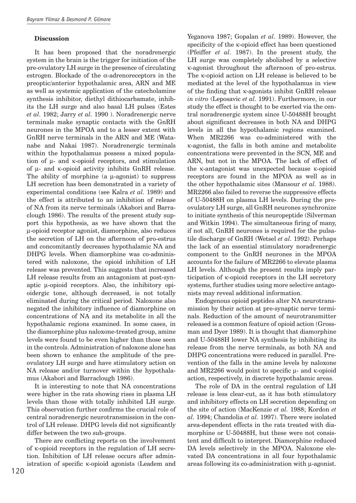# **Discussion**

It has been proposed that the noradrenergic system in the brain is the trigger for initiation of the pre-ovulatory LH surge in the presence of circulating estrogen. Blockade of the α-adrenoreceptors in the preoptic/anterior hypothalamic area, ARN and ME as well as systemic application of the catecholamine synthesis inhibitor, diethyl dithiocarbamate, inhibits the LH surge and also basal LH pulses (Estes *et al.* 1982; Jarry *et al.* 1990 ). Noradrenergic nerve terminals make synaptic contacts with the GnRH neurones in the MPOA and to a lesser extent with GnRH nerve terminals in the ARN and ME (Watanabe and Nakai 1987). Noradrenergic terminals within the hypothalamus possess a mixed population of µ- and κ-opioid receptors, and stimulation of µ- and κ-opioid activity inhibits GnRH release. The ability of morphine  $(a \mu\text{-}agonist)$  to suppress LH secretion has been demonstrated in a variety of experimental conditions (see Kalra *et al.* 1989) and the effect is attributed to an inhibition of release of NA from its nerve terminals (Akabori and Barraclough 1986). The results of the present study support this hypothesis, as we have shown that the µ-opioid receptor agonist, diamorphine, also reduces the secretion of LH on the afternoon of pro-estrus and concomitantly decreases hypothalamic NA and DHPG levels. When diamorphine was co-administered with naloxone, the opioid inhibition of LH release was prevented. This suggests that increased LH release results from an antagonism at post-synaptic µ-opioid receptors. Also, the inhibitory opioidergic tone, although decreased, is not totally eliminated during the critical period. Naloxone also negated the inhibitory influence of diamorphine on concentrations of NA and its metabolite in all the hypothalamic regions examined. In some cases, in the diamorphine plus naloxone-treated group, amine levels were found to be even higher than those seen in the controls. Administration of naloxone alone has been shown to enhance the amplitude of the preovulatory LH surge and have stimulatory action on NA release and/or turnover within the hypothalamus (Akabori and Barraclough 1986).

It is interesting to note that NA concentrations were higher in the rats showing rises in plasma LH levels than those with totally inhibited LH surge. This observation further confirms the crucial role of central noradrenergic neurotransmission in the control of LH release. DHPG levels did not significantly differ between the two sub-groups.

There are conflicting reports on the involvement of κ-opioid receptors in the regulation of LH secretion. Inhibition of LH release occurs after administration of specific κ-opioid agonists (Leadem and Yeganova 1987; Gopalan *et al.* 1989). However, the specificity of the κ-opioid effect has been questioned (Pfeiffer *et al.* 1987). In the present study, the LH surge was completely abolished by a selective κ-agonist throughout the afternoon of pro-estrus. The κ-opioid action on LH release is believed to be mediated at the level of the hypothalamus in view of the finding that  $\kappa$ -agonists inhibit GnRH release *in vitro* (Leposavic *et al.* 1991). Furthermore, in our study the effect is thought to be exerted via the central noradrenergic system since U-50488H brought about significant decreases in both NA and DHPG levels in all the hypothalamic regions examined. When MR2266 was co-administered with the κ-agonist, the falls in both amine and metabolite concentrations were prevented in the SCN, ME and ARN, but not in the MPOA. The lack of effect of the κ-antagonist was unexpected because κ-opioid receptors are found in the MPOA as well as in the other hypothalamic sites (Mansour *et al.* 1988). MR2266 also failed to reverse the suppressive effects of U-50488H on plasma LH levels. During the preovulatory LH surge, all GnRH neurones synchronize to initiate synthesis of this neuropeptide (Silverman and Witkin 1994). The simultaneous firing of many, if not all, GnRH neurones is required for the pulsatile discharge of GnRH (Wetsel *et al.* 1992). Perhaps the lack of an essential stimulatory noradrenergic component to the GnRH neurones in the MPOA accounts for the failure of MR2266 to elevate plasma LH levels. Although the present results imply participation of κ-opioid receptors in the LH secretory systems, further studies using more selective antagonists may reveal additional information.

Endogenous opioid peptides alter NA neurotransmission by their action at pre-synaptic nerve terminals. Reduction of the amount of neurotransmitter released is a common feature of opioid action (Grossman and Dyer 1989). It is thought that diamorphine and U-50488H lower NA synthesis by inhibiting its release from the nerve terminals, as both NA and DHPG concentrations were reduced in parallel. Prevention of the falls in the amine levels by naloxone and MR2266 would point to specific  $\mu$ - and  $\kappa$ -opioid action, respectively, in discrete hypothalamic areas.

The role of DA in the central regulation of LH release is less clear-cut, as it has both stimulatory and inhibitory effects on LH secretion depending on the site of action (MacKenzie *et al.* 1988; Kordon *et al.* 1994; Chandolia *et al.* 1997). There were isolated area-dependent effects in the rats treated with diamorphine or U-50488H, but these were not consistent and difficult to interpret. Diamorphine reduced DA levels selectively in the MPOA. Naloxone elevated DA concentrations in all four hypothalamic areas following its co-administration with µ-agonist.